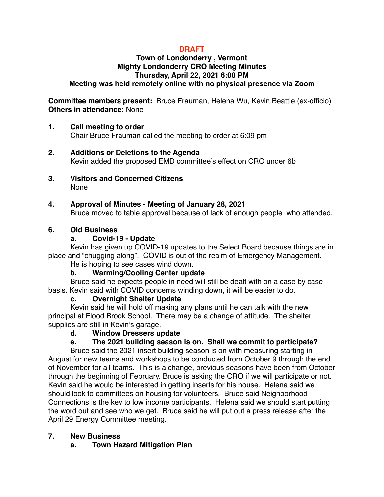# **DRAFT**

#### **Town of Londonderry , Vermont Mighty Londonderry CRO Meeting Minutes Thursday, April 22, 2021 6:00 PM Meeting was held remotely online with no physical presence via Zoom**

#### **Committee members present:** Bruce Frauman, Helena Wu, Kevin Beattie (ex-officio) **Others in attendance:** None

### **1. Call meeting to order**

Chair Bruce Frauman called the meeting to order at 6:09 pm

- **2. Additions or Deletions to the Agenda** Kevin added the proposed EMD committee's effect on CRO under 6b
- **3. Visitors and Concerned Citizens** None

### **4. Approval of Minutes - Meeting of January 28, 2021**

Bruce moved to table approval because of lack of enough people who attended.

### **6. Old Business**

### **a. Covid-19 - Update**

Kevin has given up COVID-19 updates to the Select Board because things are in place and "chugging along". COVID is out of the realm of Emergency Management. He is hoping to see cases wind down.

# **b. Warming/Cooling Center update**

Bruce said he expects people in need will still be dealt with on a case by case basis. Kevin said with COVID concerns winding down, it will be easier to do.

# **c. Overnight Shelter Update**

Kevin said he will hold off making any plans until he can talk with the new principal at Flood Brook School. There may be a change of attitude. The shelter supplies are still in Kevin's garage.

# **d. Window Dressers update**

# **e. The 2021 building season is on. Shall we commit to participate?**

Bruce said the 2021 insert building season is on with measuring starting in August for new teams and workshops to be conducted from October 9 through the end of November for all teams. This is a change, previous seasons have been from October through the beginning of February. Bruce is asking the CRO if we will participate or not. Kevin said he would be interested in getting inserts for his house. Helena said we should look to committees on housing for volunteers. Bruce said Neighborhood Connections is the key to low income participants. Helena said we should start putting the word out and see who we get. Bruce said he will put out a press release after the April 29 Energy Committee meeting.

# **7. New Business**

**a. Town Hazard Mitigation Plan**